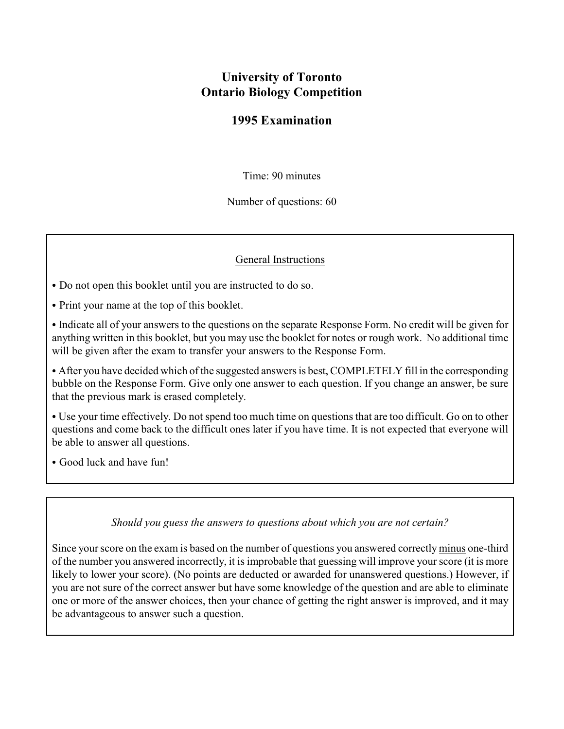# **University of Toronto Ontario Biology Competition**

### **1995 Examination**

Time: 90 minutes

Number of questions: 60

### General Instructions

- Do not open this booklet until you are instructed to do so.
- Print your name at the top of this booklet.
- Indicate all of your answers to the questions on the separate Response Form. No credit will be given for anything written in this booklet, but you may use the booklet for notes or rough work. No additional time will be given after the exam to transfer your answers to the Response Form.

• After you have decided which of the suggested answers is best, COMPLETELY fill in the corresponding bubble on the Response Form. Give only one answer to each question. If you change an answer, be sure that the previous mark is erased completely.

• Use your time effectively. Do not spend too much time on questions that are too difficult. Go on to other questions and come back to the difficult ones later if you have time. It is not expected that everyone will be able to answer all questions.

• Good luck and have fun!

#### *Should you guess the answers to questions about which you are not certain?*

Since your score on the exam is based on the number of questions you answered correctly minus one-third of the number you answered incorrectly, it is improbable that guessing will improve your score (it is more likely to lower your score). (No points are deducted or awarded for unanswered questions.) However, if you are not sure of the correct answer but have some knowledge of the question and are able to eliminate one or more of the answer choices, then your chance of getting the right answer is improved, and it may be advantageous to answer such a question.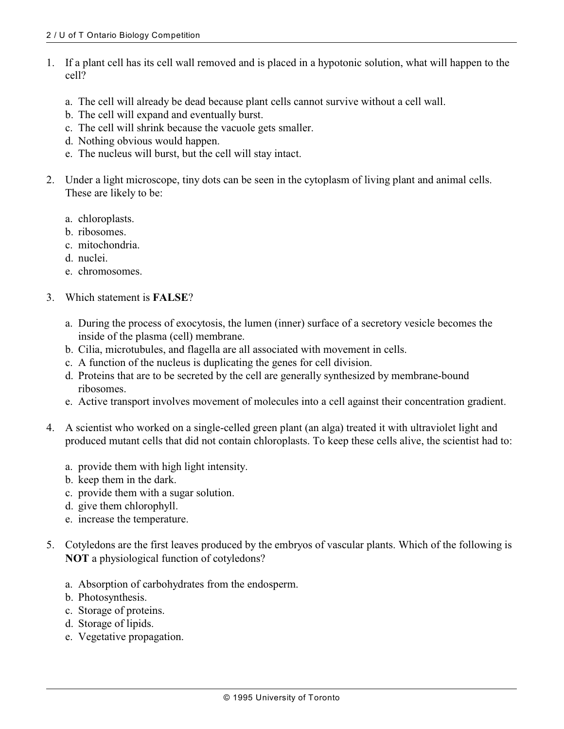- 1. If a plant cell has its cell wall removed and is placed in a hypotonic solution, what will happen to the cell?
	- a. The cell will already be dead because plant cells cannot survive without a cell wall.
	- b. The cell will expand and eventually burst.
	- c. The cell will shrink because the vacuole gets smaller.
	- d. Nothing obvious would happen.
	- e. The nucleus will burst, but the cell will stay intact.
- 2. Under a light microscope, tiny dots can be seen in the cytoplasm of living plant and animal cells. These are likely to be:
	- a. chloroplasts.
	- b. ribosomes.
	- c. mitochondria.
	- d. nuclei.
	- e. chromosomes.
- 3. Which statement is **FALSE**?
	- a. During the process of exocytosis, the lumen (inner) surface of a secretory vesicle becomes the inside of the plasma (cell) membrane.
	- b. Cilia, microtubules, and flagella are all associated with movement in cells.
	- c. A function of the nucleus is duplicating the genes for cell division.
	- d. Proteins that are to be secreted by the cell are generally synthesized by membrane-bound ribosomes.
	- e. Active transport involves movement of molecules into a cell against their concentration gradient.
- 4. A scientist who worked on a single-celled green plant (an alga) treated it with ultraviolet light and produced mutant cells that did not contain chloroplasts. To keep these cells alive, the scientist had to:
	- a. provide them with high light intensity.
	- b. keep them in the dark.
	- c. provide them with a sugar solution.
	- d. give them chlorophyll.
	- e. increase the temperature.
- 5. Cotyledons are the first leaves produced by the embryos of vascular plants. Which of the following is **NOT** a physiological function of cotyledons?
	- a. Absorption of carbohydrates from the endosperm.
	- b. Photosynthesis.
	- c. Storage of proteins.
	- d. Storage of lipids.
	- e. Vegetative propagation.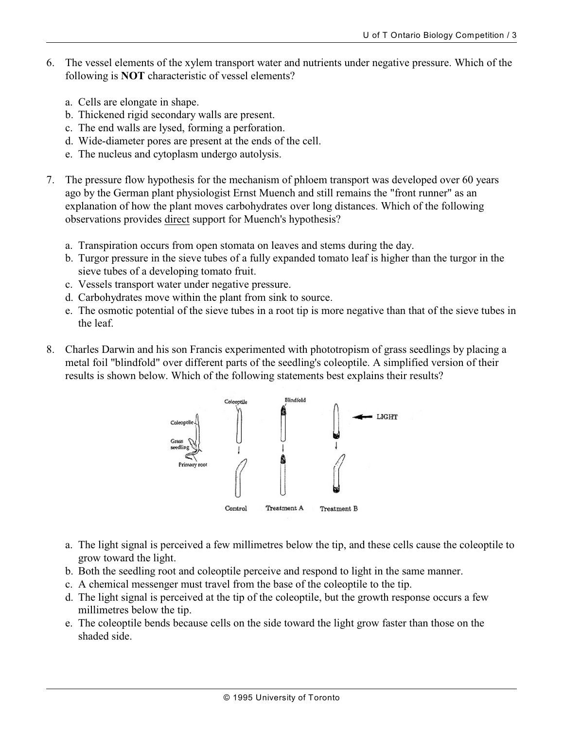- 6. The vessel elements of the xylem transport water and nutrients under negative pressure. Which of the following is **NOT** characteristic of vessel elements?
	- a. Cells are elongate in shape.
	- b. Thickened rigid secondary walls are present.
	- c. The end walls are lysed, forming a perforation.
	- d. Wide-diameter pores are present at the ends of the cell.
	- e. The nucleus and cytoplasm undergo autolysis.
- 7. The pressure flow hypothesis for the mechanism of phloem transport was developed over 60 years ago by the German plant physiologist Ernst Muench and still remains the "front runner" as an explanation of how the plant moves carbohydrates over long distances. Which of the following observations provides direct support for Muench's hypothesis?
	- a. Transpiration occurs from open stomata on leaves and stems during the day.
	- b. Turgor pressure in the sieve tubes of a fully expanded tomato leaf is higher than the turgor in the sieve tubes of a developing tomato fruit.
	- c. Vessels transport water under negative pressure.
	- d. Carbohydrates move within the plant from sink to source.
	- e. The osmotic potential of the sieve tubes in a root tip is more negative than that of the sieve tubes in the leaf.
- 8. Charles Darwin and his son Francis experimented with phototropism of grass seedlings by placing a metal foil "blindfold" over different parts of the seedling's coleoptile. A simplified version of their results is shown below. Which of the following statements best explains their results?



- a. The light signal is perceived a few millimetres below the tip, and these cells cause the coleoptile to grow toward the light.
- b. Both the seedling root and coleoptile perceive and respond to light in the same manner.
- c. A chemical messenger must travel from the base of the coleoptile to the tip.
- d. The light signal is perceived at the tip of the coleoptile, but the growth response occurs a few millimetres below the tip.
- e. The coleoptile bends because cells on the side toward the light grow faster than those on the shaded side.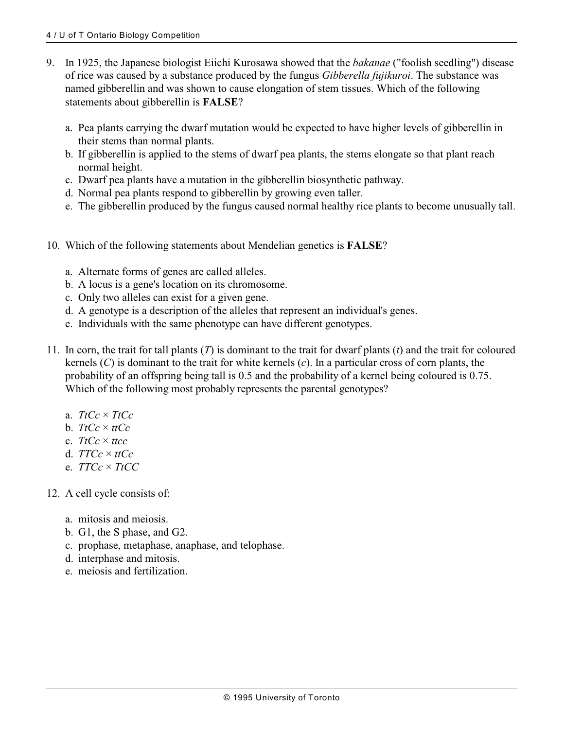- 9. In 1925, the Japanese biologist Eiichi Kurosawa showed that the *bakanae* ("foolish seedling") disease of rice was caused by a substance produced by the fungus *Gibberella fujikuroi*. The substance was named gibberellin and was shown to cause elongation of stem tissues. Which of the following statements about gibberellin is **FALSE**?
	- a. Pea plants carrying the dwarf mutation would be expected to have higher levels of gibberellin in their stems than normal plants.
	- b. If gibberellin is applied to the stems of dwarf pea plants, the stems elongate so that plant reach normal height.
	- c. Dwarf pea plants have a mutation in the gibberellin biosynthetic pathway.
	- d. Normal pea plants respond to gibberellin by growing even taller.
	- e. The gibberellin produced by the fungus caused normal healthy rice plants to become unusually tall.
- 10. Which of the following statements about Mendelian genetics is **FALSE**?
	- a. Alternate forms of genes are called alleles.
	- b. A locus is a gene's location on its chromosome.
	- c. Only two alleles can exist for a given gene.
	- d. A genotype is a description of the alleles that represent an individual's genes.
	- e. Individuals with the same phenotype can have different genotypes.
- 11. In corn, the trait for tall plants (*T*) is dominant to the trait for dwarf plants (*t*) and the trait for coloured kernels (*C*) is dominant to the trait for white kernels (*c*). In a particular cross of corn plants, the probability of an offspring being tall is 0.5 and the probability of a kernel being coloured is 0.75. Which of the following most probably represents the parental genotypes?
	- a. *TtCc* × *TtCc*
	- b.  $TtCe \times ttCe$
	- c. *TtCc* × *ttcc*
	- d. *TTCc* × *ttCc*
	- e. *TTCc* × *TtCC*
- 12. A cell cycle consists of:
	- a. mitosis and meiosis.
	- b. G1, the S phase, and G2.
	- c. prophase, metaphase, anaphase, and telophase.
	- d. interphase and mitosis.
	- e. meiosis and fertilization.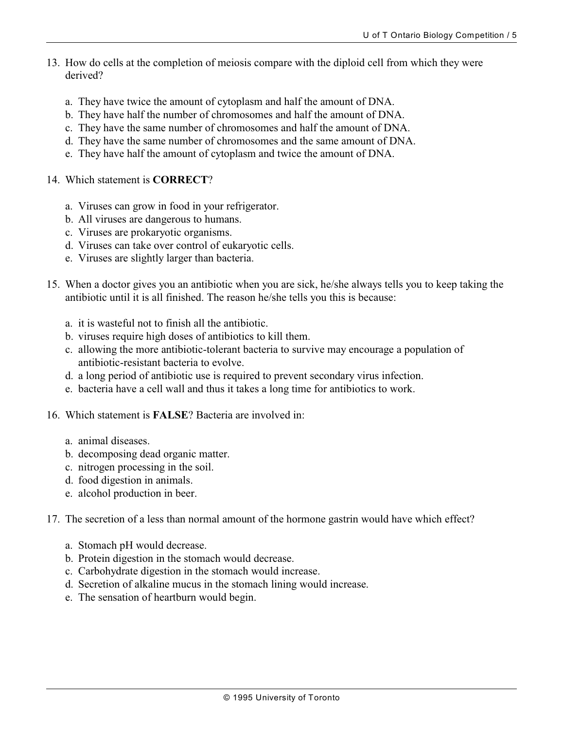- 13. How do cells at the completion of meiosis compare with the diploid cell from which they were derived?
	- a. They have twice the amount of cytoplasm and half the amount of DNA.
	- b. They have half the number of chromosomes and half the amount of DNA.
	- c. They have the same number of chromosomes and half the amount of DNA.
	- d. They have the same number of chromosomes and the same amount of DNA.
	- e. They have half the amount of cytoplasm and twice the amount of DNA.
- 14. Which statement is **CORRECT**?
	- a. Viruses can grow in food in your refrigerator.
	- b. All viruses are dangerous to humans.
	- c. Viruses are prokaryotic organisms.
	- d. Viruses can take over control of eukaryotic cells.
	- e. Viruses are slightly larger than bacteria.
- 15. When a doctor gives you an antibiotic when you are sick, he/she always tells you to keep taking the antibiotic until it is all finished. The reason he/she tells you this is because:
	- a. it is wasteful not to finish all the antibiotic.
	- b. viruses require high doses of antibiotics to kill them.
	- c. allowing the more antibiotic-tolerant bacteria to survive may encourage a population of antibiotic-resistant bacteria to evolve.
	- d. a long period of antibiotic use is required to prevent secondary virus infection.
	- e. bacteria have a cell wall and thus it takes a long time for antibiotics to work.
- 16. Which statement is **FALSE**? Bacteria are involved in:
	- a. animal diseases.
	- b. decomposing dead organic matter.
	- c. nitrogen processing in the soil.
	- d. food digestion in animals.
	- e. alcohol production in beer.

17. The secretion of a less than normal amount of the hormone gastrin would have which effect?

- a. Stomach pH would decrease.
- b. Protein digestion in the stomach would decrease.
- c. Carbohydrate digestion in the stomach would increase.
- d. Secretion of alkaline mucus in the stomach lining would increase.
- e. The sensation of heartburn would begin.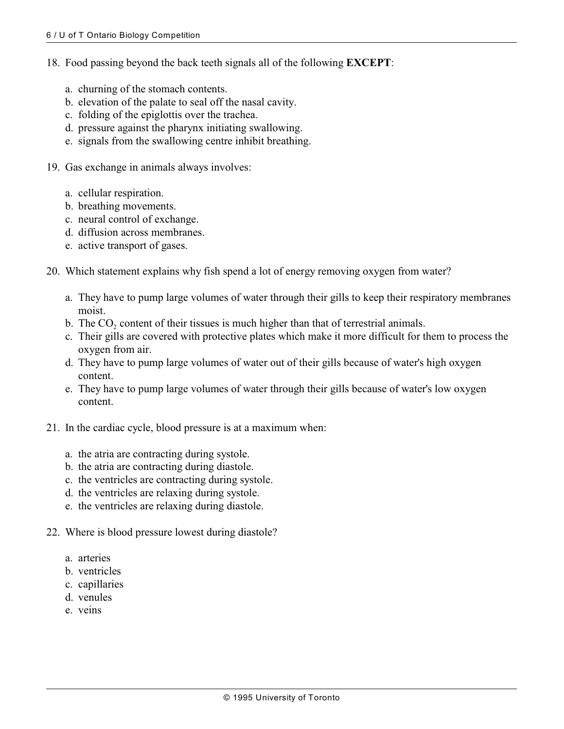- 18. Food passing beyond the back teeth signals all of the following **EXCEPT**:
	- a. churning of the stomach contents.
	- b. elevation of the palate to seal off the nasal cavity.
	- c. folding of the epiglottis over the trachea.
	- d. pressure against the pharynx initiating swallowing.
	- e. signals from the swallowing centre inhibit breathing.
- 19. Gas exchange in animals always involves:
	- a. cellular respiration.
	- b. breathing movements.
	- c. neural control of exchange.
	- d. diffusion across membranes.
	- e. active transport of gases.
- 20. Which statement explains why fish spend a lot of energy removing oxygen from water?
	- a. They have to pump large volumes of water through their gills to keep their respiratory membranes moist.
	- b. The  $CO<sub>2</sub>$  content of their tissues is much higher than that of terrestrial animals.
	- c. Their gills are covered with protective plates which make it more difficult for them to process the oxygen from air.
	- d. They have to pump large volumes of water out of their gills because of water's high oxygen content.
	- e. They have to pump large volumes of water through their gills because of water's low oxygen content.
- 21. In the cardiac cycle, blood pressure is at a maximum when:
	- a. the atria are contracting during systole.
	- b. the atria are contracting during diastole.
	- c. the ventricles are contracting during systole.
	- d. the ventricles are relaxing during systole.
	- e. the ventricles are relaxing during diastole.
- 22. Where is blood pressure lowest during diastole?
	- a. arteries
	- b. ventricles
	- c. capillaries
	- d. venules
	- e. veins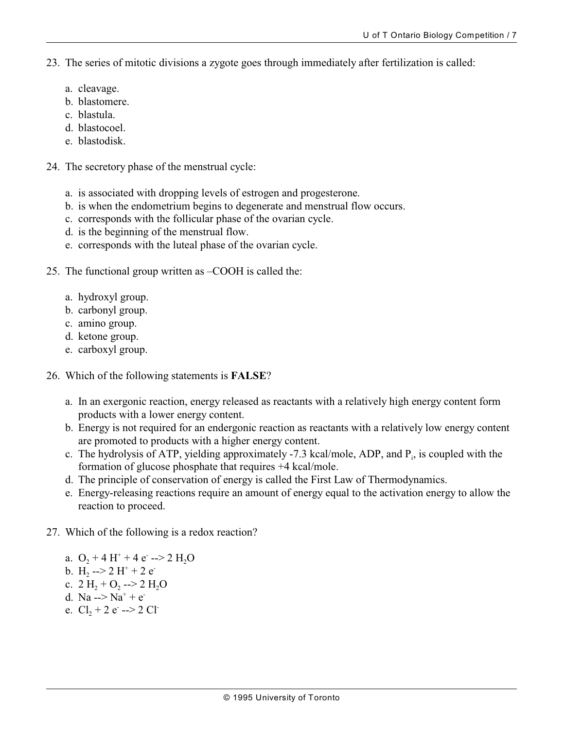23. The series of mitotic divisions a zygote goes through immediately after fertilization is called:

- a. cleavage.
- b. blastomere.
- c. blastula.
- d. blastocoel.
- e. blastodisk.
- 24. The secretory phase of the menstrual cycle:
	- a. is associated with dropping levels of estrogen and progesterone.
	- b. is when the endometrium begins to degenerate and menstrual flow occurs.
	- c. corresponds with the follicular phase of the ovarian cycle.
	- d. is the beginning of the menstrual flow.
	- e. corresponds with the luteal phase of the ovarian cycle.
- 25. The functional group written as –COOH is called the:
	- a. hydroxyl group.
	- b. carbonyl group.
	- c. amino group.
	- d. ketone group.
	- e. carboxyl group.
- 26. Which of the following statements is **FALSE**?
	- a. In an exergonic reaction, energy released as reactants with a relatively high energy content form products with a lower energy content.
	- b. Energy is not required for an endergonic reaction as reactants with a relatively low energy content are promoted to products with a higher energy content.
	- c. The hydrolysis of ATP, yielding approximately -7.3 kcal/mole, ADP, and  $P_i$ , is coupled with the formation of glucose phosphate that requires +4 kcal/mole.
	- d. The principle of conservation of energy is called the First Law of Thermodynamics.
	- e. Energy-releasing reactions require an amount of energy equal to the activation energy to allow the reaction to proceed.
- 27. Which of the following is a redox reaction?
	- a.  $O_2 + 4 H^+ + 4 e^- \rightarrow 2 H_2 O$ b.  $H_2 \rightarrow 2 H^+ + 2 e^$ c.  $2 \text{ H}_2 + \text{O}_2$  -->  $2 \text{ H}_2\text{O}$ d. Na  $\rightarrow$  Na<sup>+</sup> + e e.  $Cl_2 + 2 e^- \rightarrow 2 Cl^-$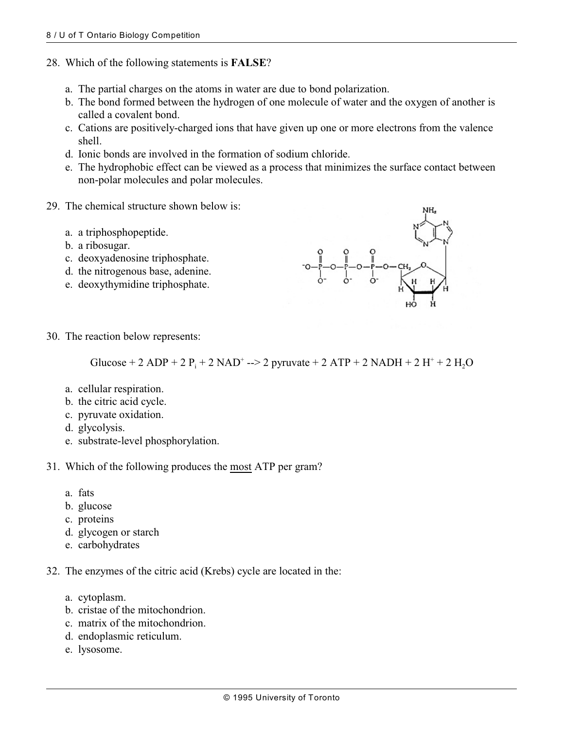- 28. Which of the following statements is **FALSE**?
	- a. The partial charges on the atoms in water are due to bond polarization.
	- b. The bond formed between the hydrogen of one molecule of water and the oxygen of another is called a covalent bond.
	- c. Cations are positively-charged ions that have given up one or more electrons from the valence shell.
	- d. Ionic bonds are involved in the formation of sodium chloride.
	- e. The hydrophobic effect can be viewed as a process that minimizes the surface contact between non-polar molecules and polar molecules.
- 29. The chemical structure shown below is:
	- a. a triphosphopeptide.
	- b. a ribosugar.
	- c. deoxyadenosine triphosphate.
	- d. the nitrogenous base, adenine.
	- e. deoxythymidine triphosphate.



30. The reaction below represents:

Glucose + 2 ADP + 2  $P_i$  + 2 NAD<sup>+</sup> --> 2 pyruvate + 2 ATP + 2 NADH + 2 H<sup>+</sup> + 2 H<sub>2</sub>O

- a. cellular respiration.
- b. the citric acid cycle.
- c. pyruvate oxidation.
- d. glycolysis.
- e. substrate-level phosphorylation.
- 31. Which of the following produces the most ATP per gram?
	- a. fats
	- b. glucose
	- c. proteins
	- d. glycogen or starch
	- e. carbohydrates

32. The enzymes of the citric acid (Krebs) cycle are located in the:

- a. cytoplasm.
- b. cristae of the mitochondrion.
- c. matrix of the mitochondrion.
- d. endoplasmic reticulum.
- e. lysosome.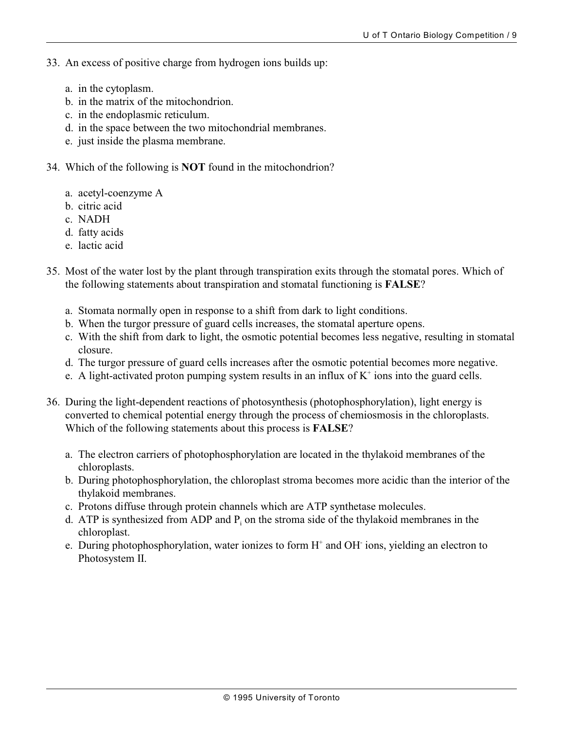- 33. An excess of positive charge from hydrogen ions builds up:
	- a. in the cytoplasm.
	- b. in the matrix of the mitochondrion.
	- c. in the endoplasmic reticulum.
	- d. in the space between the two mitochondrial membranes.
	- e. just inside the plasma membrane.
- 34. Which of the following is **NOT** found in the mitochondrion?
	- a. acetyl-coenzyme A
	- b. citric acid
	- c. NADH
	- d. fatty acids
	- e. lactic acid
- 35. Most of the water lost by the plant through transpiration exits through the stomatal pores. Which of the following statements about transpiration and stomatal functioning is **FALSE**?
	- a. Stomata normally open in response to a shift from dark to light conditions.
	- b. When the turgor pressure of guard cells increases, the stomatal aperture opens.
	- c. With the shift from dark to light, the osmotic potential becomes less negative, resulting in stomatal closure.
	- d. The turgor pressure of guard cells increases after the osmotic potential becomes more negative.
	- e. A light-activated proton pumping system results in an influx of  $K^+$  ions into the guard cells.
- 36. During the light-dependent reactions of photosynthesis (photophosphorylation), light energy is converted to chemical potential energy through the process of chemiosmosis in the chloroplasts. Which of the following statements about this process is **FALSE**?
	- a. The electron carriers of photophosphorylation are located in the thylakoid membranes of the chloroplasts.
	- b. During photophosphorylation, the chloroplast stroma becomes more acidic than the interior of the thylakoid membranes.
	- c. Protons diffuse through protein channels which are ATP synthetase molecules.
	- d. ATP is synthesized from ADP and  $P_i$  on the stroma side of the thylakoid membranes in the chloroplast.
	- e. During photophosphorylation, water ionizes to form  $H^+$  and OH ions, yielding an electron to Photosystem II.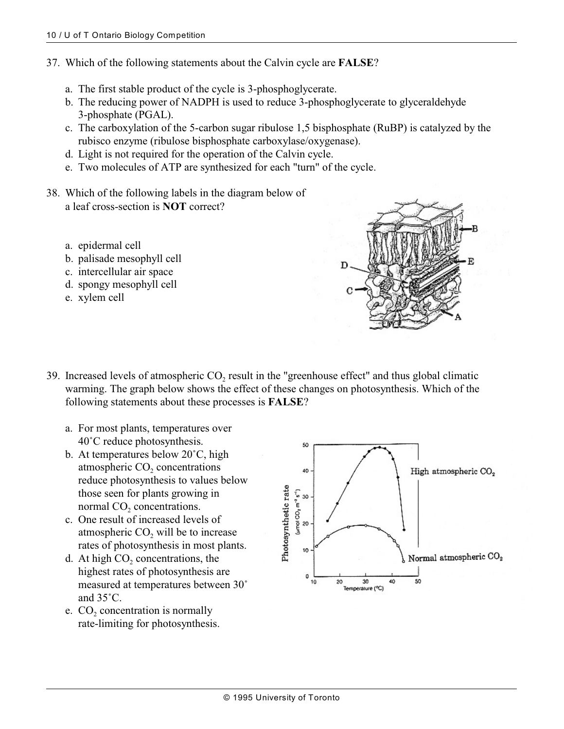- 37. Which of the following statements about the Calvin cycle are **FALSE**?
	- a. The first stable product of the cycle is 3-phosphoglycerate.
	- b. The reducing power of NADPH is used to reduce 3-phosphoglycerate to glyceraldehyde 3-phosphate (PGAL).
	- c. The carboxylation of the 5-carbon sugar ribulose 1,5 bisphosphate (RuBP) is catalyzed by the rubisco enzyme (ribulose bisphosphate carboxylase/oxygenase).
	- d. Light is not required for the operation of the Calvin cycle.
	- e. Two molecules of ATP are synthesized for each "turn" of the cycle.
- 38. Which of the following labels in the diagram below of a leaf cross-section is **NOT** correct?
	- a. epidermal cell
	- b. palisade mesophyll cell
	- c. intercellular air space
	- d. spongy mesophyll cell
	- e. xylem cell



- 39. Increased levels of atmospheric  $CO<sub>2</sub>$  result in the "greenhouse effect" and thus global climatic warming. The graph below shows the effect of these changes on photosynthesis. Which of the following statements about these processes is **FALSE**?
	- a. For most plants, temperatures over  $40^{\circ}$ C reduce photosynthesis.
	- b. At temperatures below  $20^{\circ}$ C, high atmospheric  $CO<sub>2</sub>$  concentrations reduce photosynthesis to values below those seen for plants growing in normal  $CO<sub>2</sub>$  concentrations.
	- c. One result of increased levels of atmospheric  $CO<sub>2</sub>$  will be to increase rates of photosynthesis in most plants.
	- d. At high  $CO<sub>2</sub>$  concentrations, the highest rates of photosynthesis are measured at temperatures between 30° and  $35^{\circ}$ C.
	- e.  $CO<sub>2</sub>$  concentration is normally rate-limiting for photosynthesis.

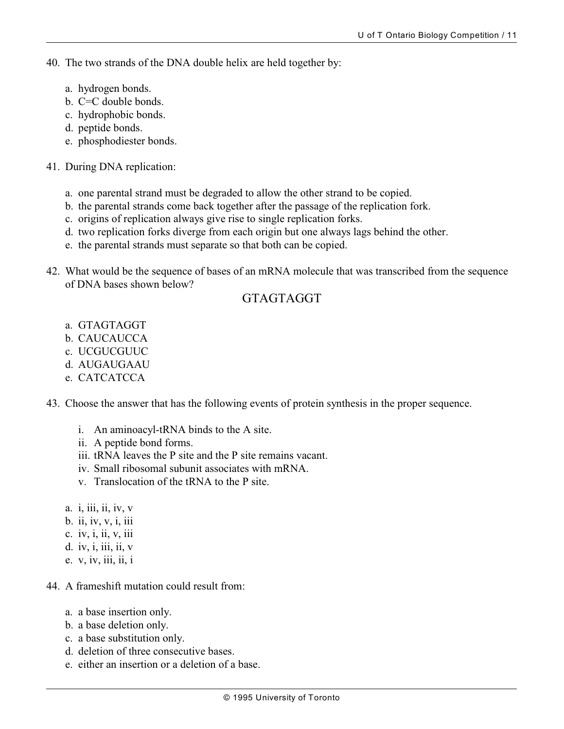- 40. The two strands of the DNA double helix are held together by:
	- a. hydrogen bonds.
	- b. C=C double bonds.
	- c. hydrophobic bonds.
	- d. peptide bonds.
	- e. phosphodiester bonds.
- 41. During DNA replication:
	- a. one parental strand must be degraded to allow the other strand to be copied.
	- b. the parental strands come back together after the passage of the replication fork.
	- c. origins of replication always give rise to single replication forks.
	- d. two replication forks diverge from each origin but one always lags behind the other.
	- e. the parental strands must separate so that both can be copied.
- 42. What would be the sequence of bases of an mRNA molecule that was transcribed from the sequence of DNA bases shown below?

## GTAGTAGGT

- a. GTAGTAGGT
- b. CAUCAUCCA
- c. UCGUCGUUC
- d. AUGAUGAAU
- e. CATCATCCA
- 43. Choose the answer that has the following events of protein synthesis in the proper sequence.
	- i. An aminoacyl-tRNA binds to the A site.
	- ii. A peptide bond forms.
	- iii. tRNA leaves the P site and the P site remains vacant.
	- iv. Small ribosomal subunit associates with mRNA.
	- v. Translocation of the tRNA to the P site.
	- a. *i*, *iii*, *ii*, *iv*, *v*
	- b. ii, iv, v, i, iii
	- c. iv, i, ii, v, iii
	- d. iv, i, iii, ii, v
	- e. v, iv, iii, ii, i
- 44. A frameshift mutation could result from:
	- a. a base insertion only.
	- b. a base deletion only.
	- c. a base substitution only.
	- d. deletion of three consecutive bases.
	- e. either an insertion or a deletion of a base.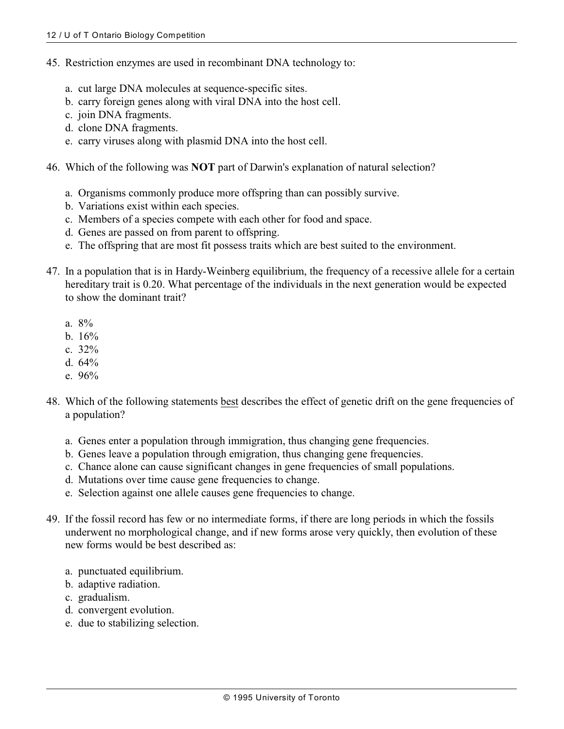- 45. Restriction enzymes are used in recombinant DNA technology to:
	- a. cut large DNA molecules at sequence-specific sites.
	- b. carry foreign genes along with viral DNA into the host cell.
	- c. join DNA fragments.
	- d. clone DNA fragments.
	- e. carry viruses along with plasmid DNA into the host cell.
- 46. Which of the following was **NOT** part of Darwin's explanation of natural selection?
	- a. Organisms commonly produce more offspring than can possibly survive.
	- b. Variations exist within each species.
	- c. Members of a species compete with each other for food and space.
	- d. Genes are passed on from parent to offspring.
	- e. The offspring that are most fit possess traits which are best suited to the environment.
- 47. In a population that is in Hardy-Weinberg equilibrium, the frequency of a recessive allele for a certain hereditary trait is 0.20. What percentage of the individuals in the next generation would be expected to show the dominant trait?
	- a. 8%
	- b. 16%
	- c. 32%
	- d. 64%
	- e. 96%
- 48. Which of the following statements best describes the effect of genetic drift on the gene frequencies of a population?
	- a. Genes enter a population through immigration, thus changing gene frequencies.
	- b. Genes leave a population through emigration, thus changing gene frequencies.
	- c. Chance alone can cause significant changes in gene frequencies of small populations.
	- d. Mutations over time cause gene frequencies to change.
	- e. Selection against one allele causes gene frequencies to change.
- 49. If the fossil record has few or no intermediate forms, if there are long periods in which the fossils underwent no morphological change, and if new forms arose very quickly, then evolution of these new forms would be best described as:
	- a. punctuated equilibrium.
	- b. adaptive radiation.
	- c. gradualism.
	- d. convergent evolution.
	- e. due to stabilizing selection.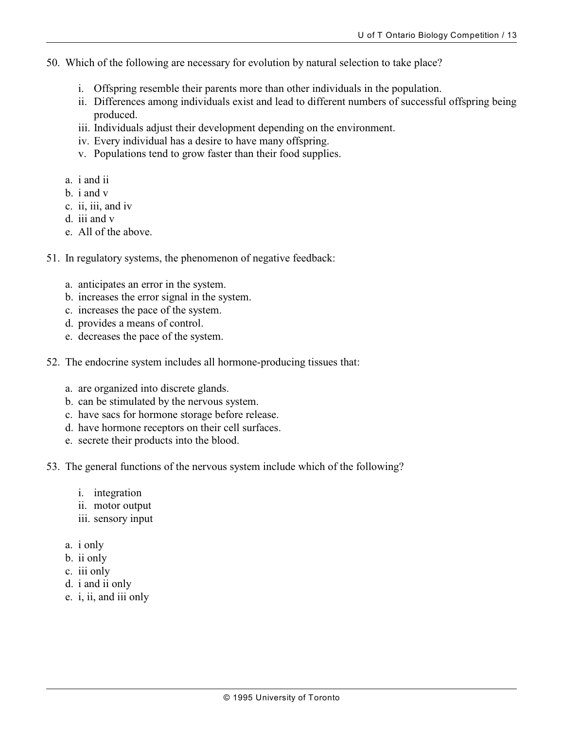- 50. Which of the following are necessary for evolution by natural selection to take place?
	- i. Offspring resemble their parents more than other individuals in the population.
	- ii. Differences among individuals exist and lead to different numbers of successful offspring being produced.
	- iii. Individuals adjust their development depending on the environment.
	- iv. Every individual has a desire to have many offspring.
	- v. Populations tend to grow faster than their food supplies.
	- a. i and ii
	- b. i and v
	- c. ii, iii, and iv
	- d. iii and v
	- e. All of the above.
- 51. In regulatory systems, the phenomenon of negative feedback:
	- a. anticipates an error in the system.
	- b. increases the error signal in the system.
	- c. increases the pace of the system.
	- d. provides a means of control.
	- e. decreases the pace of the system.
- 52. The endocrine system includes all hormone-producing tissues that:
	- a. are organized into discrete glands.
	- b. can be stimulated by the nervous system.
	- c. have sacs for hormone storage before release.
	- d. have hormone receptors on their cell surfaces.
	- e. secrete their products into the blood.
- 53. The general functions of the nervous system include which of the following?
	- i. integration
	- ii. motor output
	- iii. sensory input
	- a. i only
	- b. ii only
	- c. iii only
	- d. i and ii only
	- e. i, ii, and iii only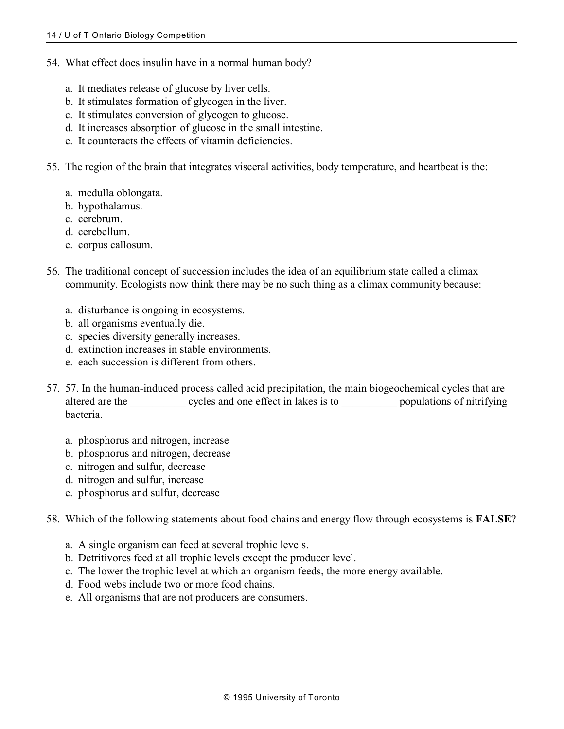- 54. What effect does insulin have in a normal human body?
	- a. It mediates release of glucose by liver cells.
	- b. It stimulates formation of glycogen in the liver.
	- c. It stimulates conversion of glycogen to glucose.
	- d. It increases absorption of glucose in the small intestine.
	- e. It counteracts the effects of vitamin deficiencies.
- 55. The region of the brain that integrates visceral activities, body temperature, and heartbeat is the:
	- a. medulla oblongata.
	- b. hypothalamus.
	- c. cerebrum.
	- d. cerebellum.
	- e. corpus callosum.
- 56. The traditional concept of succession includes the idea of an equilibrium state called a climax community. Ecologists now think there may be no such thing as a climax community because:
	- a. disturbance is ongoing in ecosystems.
	- b. all organisms eventually die.
	- c. species diversity generally increases.
	- d. extinction increases in stable environments.
	- e. each succession is different from others.
- 57. 57. In the human-induced process called acid precipitation, the main biogeochemical cycles that are altered are the \_\_\_\_\_\_\_\_\_\_ cycles and one effect in lakes is to \_\_\_\_\_\_\_\_\_\_\_ populations of nitrifying bacteria.
	- a. phosphorus and nitrogen, increase
	- b. phosphorus and nitrogen, decrease
	- c. nitrogen and sulfur, decrease
	- d. nitrogen and sulfur, increase
	- e. phosphorus and sulfur, decrease
- 58. Which of the following statements about food chains and energy flow through ecosystems is **FALSE**?
	- a. A single organism can feed at several trophic levels.
	- b. Detritivores feed at all trophic levels except the producer level.
	- c. The lower the trophic level at which an organism feeds, the more energy available.
	- d. Food webs include two or more food chains.
	- e. All organisms that are not producers are consumers.